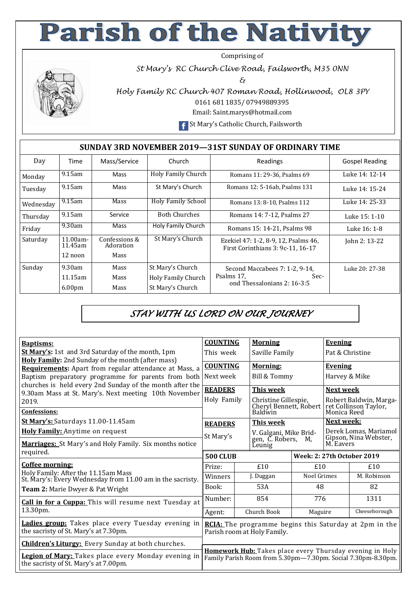## **Parish of the Nativity**

Comprising of

*St Mary's RC Church Clive Road, Failsworth, M35 0NN* 

*&* 



*Holy Family RC Church 407 Roman Road, Hollinwood, OL8 3PY*  0161 681 1835/ 07949889395

Email: Saint.marys@hotmail.com

**F** St Mary's Catholic Church, Failsworth

## **SUNDAY 3RD NOVEMBER 2019—31ST SUNDAY OF ORDINARY TIME**

| Day       | <b>Time</b>                       | Mass/Service                              | Church                    | Readings                                                                  | <b>Gospel Reading</b> |
|-----------|-----------------------------------|-------------------------------------------|---------------------------|---------------------------------------------------------------------------|-----------------------|
| Monday    | $9.15$ am                         | Mass                                      | Holy Family Church        | Romans 11: 29-36, Psalms 69                                               | Luke 14: 12-14        |
| Tuesday   | $9.15$ am                         | Mass                                      | St Mary's Church          | Romans 12: 5-16ab, Psalms 131                                             | Luke 14: 15-24        |
| Wednesday | $9.15$ am                         | Mass                                      | <b>Holy Family School</b> | Romans 13: 8-10, Psalms 112                                               | Luke 14: 25-33        |
| Thursday  | $9.15$ am                         | Service                                   | <b>Both Churches</b>      | Romans 14: 7-12, Psalms 27                                                | Luke 15: 1-10         |
| Friday    | 9.30am                            | Mass                                      | Holy Family Church        | Romans 15: 14-21, Psalms 98                                               | Luke 16: 1-8          |
| Saturday  | $11.00am -$<br>11.45am<br>12 noon | Confessions &<br>Adoration<br><b>Mass</b> | St Mary's Church          | Ezekiel 47: 1-2, 8-9, 12, Psalms 46,<br>First Corinthians 3: 9c-11, 16-17 | John 2: 13-22         |
| Sunday    | 9.30am                            | Mass                                      | St Mary's Church          | Second Maccabees 7: 1-2, 9-14,                                            | Luke 20: 27-38        |
|           | 11.15am                           | Mass                                      | Holy Family Church        | Psalms 17.<br>Sec-<br>ond Thessalonians 2: 16-3:5                         |                       |
|           | 6.00 <sub>pm</sub>                | Mass                                      | St Mary's Church          |                                                                           |                       |

## *STAY WITH US LORD ON OUR JOURNEY*

| Baptisms:                                                                                                         | <b>COUNTING</b>                                                                                                          | <b>Morning</b> |                                                                  | <b>Evening</b> |                                                                |               |
|-------------------------------------------------------------------------------------------------------------------|--------------------------------------------------------------------------------------------------------------------------|----------------|------------------------------------------------------------------|----------------|----------------------------------------------------------------|---------------|
| <b>St Mary's:</b> 1st and 3rd Saturday of the month, 1pm                                                          | This week                                                                                                                |                | Saville Family                                                   |                | Pat & Christine                                                |               |
| Holy Family: 2nd Sunday of the month (after mass)<br>Requirements: Apart from regular attendance at Mass, a       | <b>COUNTING</b>                                                                                                          |                | Morning:                                                         |                | <b>Evening</b>                                                 |               |
| Baptism preparatory programme for parents from both                                                               | Bill & Tommy<br>Next week                                                                                                |                |                                                                  | Harvey & Mike  |                                                                |               |
| churches is held every 2nd Sunday of the month after the<br>9.30am Mass at St. Mary's. Next meeting 10th November | <b>READERS</b>                                                                                                           | This week      |                                                                  |                | Next week                                                      |               |
| 2019.                                                                                                             | Holy Family                                                                                                              |                | Christine Gillespie,<br>Cheryl Bennett, Robert<br><b>Baldwin</b> |                | Robert Baldwin, Marga-<br>ret Collinson Taylor,<br>Monica Reed |               |
| Confessions:                                                                                                      |                                                                                                                          |                |                                                                  |                |                                                                |               |
| St Mary's: Saturdays 11.00-11.45am                                                                                | <b>READERS</b>                                                                                                           |                | <u>This week</u>                                                 |                | Next week:                                                     |               |
| <b>Holy Family:</b> Anytime on request                                                                            | St Mary's                                                                                                                |                | V. Galgani, Mike Brid-<br>gen, C. Robers,                        | M.             | Derek Lomas, Mariamol<br>Gipson, Nina Webster,<br>M. Eavers    |               |
| Marriages: St Mary's and Holy Family. Six months notice                                                           |                                                                                                                          |                | Leunig                                                           |                |                                                                |               |
| required.                                                                                                         | <b>500 CLUB</b>                                                                                                          |                | Week: 2: 27th October 2019                                       |                |                                                                |               |
| Coffee morning:<br>Holy Family: After the 11.15am Mass                                                            | Prize:                                                                                                                   |                | £10                                                              | £10            |                                                                | £10           |
| St. Mary's: Every Wednesday from 11.00 am in the sacristy.                                                        | Winners                                                                                                                  |                | J. Duggan                                                        | Noel Grimes    |                                                                | M. Robinson   |
| <b>Team 2: Marie Dwyer &amp; Pat Wright</b>                                                                       | Book:                                                                                                                    |                | 53A                                                              | 48             |                                                                | 82            |
| Call in for a Cuppa: This will resume next Tuesday at                                                             | Number:                                                                                                                  |                | 854                                                              | 776            |                                                                | 1311          |
| 13.30pm.                                                                                                          | Agent:                                                                                                                   |                | Church Book                                                      | Maguire        |                                                                | Cheeseborough |
| <b>Ladies group:</b> Takes place every Tuesday evening in<br>the sacristy of St. Mary's at 7.30pm.                | <b>RCIA:</b> The programme begins this Saturday at 2pm in the<br>Parish room at Holy Family.                             |                |                                                                  |                |                                                                |               |
| <b>Children's Liturgy:</b> Every Sunday at both churches.                                                         |                                                                                                                          |                |                                                                  |                |                                                                |               |
| Legion of Mary: Takes place every Monday evening in<br>the sacristy of St. Mary's at 7.00pm.                      | Homework Hub: Takes place every Thursday evening in Holy<br>Family Parish Room from 5.30pm-7.30pm. Social 7.30pm-8.30pm. |                |                                                                  |                |                                                                |               |